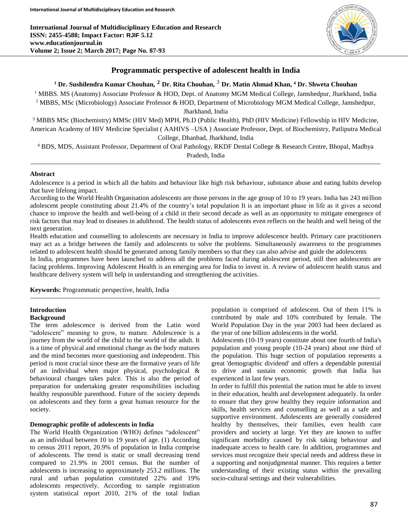

## **Programmatic perspective of adolescent health in India**

# **<sup>1</sup> Dr. Sushilendra Kumar Chouhan, <sup>2</sup> Dr. Rita Chouhan,** <sup>3</sup> **Dr. Matin Ahmad Khan, <sup>4</sup> Dr. Shweta Chouhan**

<sup>1</sup> MBBS. MS (Anatomy) Associate Professor & HOD, Dept. of Anatomy MGM Medical College, Jamshedpur, Jharkhand, India <sup>2</sup> MBBS, MSc (Microbiology) Associate Professor & HOD, Department of Microbiology MGM Medical College, Jamshedpur,

Jharkhand, India

<sup>3</sup> MBBS MSc (Biochemistry) MMSc (HIV Med) MPH, Ph.D (Public Health), PhD (HIV Medicine) Fellowship in HIV Medicine, American Academy of HIV Medicine Specialist ( AAHIVS –USA ) Associate Professor, Dept. of Biochemistry, Patliputra Medical College, Dhanbad, Jharkhand, India

<sup>4</sup> BDS, MDS, Assistant Professor, Department of Oral Pathology, RKDF Dental College & Research Centre, Bhopal, Madhya Pradesh, India

#### **Abstract**

Adolescence is a period in which all the habits and behaviour like high risk behaviour, substance abuse and eating habits develop that have lifelong impact.

According to the World Health Organisation adolescents are those persons in the age group of 10 to 19 years. India has 243 million adolescent people constituting about 21.4% of the country's total population It is an important phase in life as it gives a second chance to improve the health and well-being of a child in their second decade as well as an opportunity to mitigate emergence of risk factors that may lead to diseases in adulthood. The health status of adolescents even reflects on the health and well being of the next generation.

Health education and counselling to adolescents are necessary in India to improve adolescence health. Primary care practitioners may act as a bridge between the family and adolescents to solve the problems. Simultaneously awareness to the programmes related to adolescent health should be generated among family members so that they can also advise and guide the adolescents

In India, programmes have been launched to address all the problems faced during adolescent period, still then adolescents are facing problems. Improving Adolescent Health is an emerging area for India to invest in. A review of adolescent health status and healthcare delivery system will help in understanding and strengthening the activities.

**Keywords:** Programmatic perspective, health, India

# **Introduction**

## **Background**

The term adolescence is derived from the Latin word "adolescere" meaning to grow, to mature. Adolescence is a journey from the world of the child to the world of the adult. It is a time of physical and emotional change as the body matures and the mind becomes more questioning and independent. This period is most crucial since these are the formative years of life of an individual when major physical, psychological & behavioural changes takes palce. This is also the period of preparation for undertaking greater responsibilities including healthy responsible parenthood. Future of the society depends on adolescents and they form a great human resource for the society.

## **Demographic profile of adolescents in India**

The World Health Organization (WHO) defines "adolescent" as an individual between 10 to 19 years of age. (1) According to census 2011 report, 20.9% of population in India comprise of adolescents. The trend is static or small decreasing trend compared to 21.9% in 2001 census. But the number of adolescents is increasing to approximately 253.2 millions. The rural and urban population constituted 22% and 19% adolescents respectively. According to sample registration system statistical report 2010, 21% of the total Indian population is comprised of adolescent. Out of them 11% is contributed by male and 10% contributed by female. The World Population Day in the year 2003 had been declared as the year of one billion adolescents in the world.

Adolescents (10-19 years) constitute about one fourth of India's population and young people (10-24 years) about one third of the population. This huge section of population represents a great 'demographic dividend' and offers a dependable potential to drive and sustain economic growth that India has experienced in last few years.

In order to fulfill this potential the nation must be able to invest in their education, health and development adequately. In order to ensure that they grow healthy they require information and skills, health services and counselling as well as a safe and supportive environment. Adolescents are generally considered healthy by themselves, their families, even health care providers and society at large. Yet they are known to suffer significant morbidity caused by risk taking behaviour and inadequate access to health care. In addition, programmes and services must recognize their special needs and address these in a supporting and nonjudgmental manner. This requires a better understanding of their existing status within the prevailing socio-cultural settings and their vulnerabilities.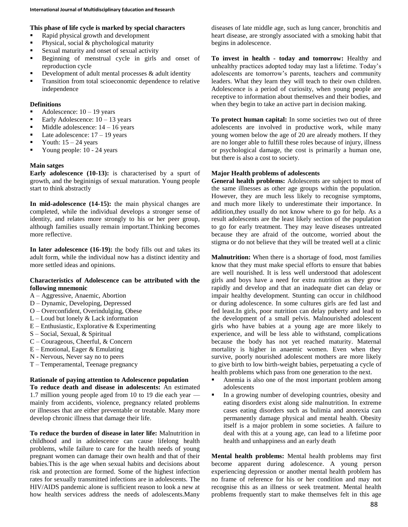## **This phase of life cycle is marked by special characters**

- Rapid physical growth and development
- Physical, social & phychological maturity
- Sexual maturity and onset of sexual activity
- Beginning of menstrual cycle in girls and onset of reproduction cycle
- Development of adult mental processes & adult identity
- Transition from total scioeconomic dependence to relative independence

## **Definitions**

- Adolescence:  $10 19$  years
- Early Adolescence:  $10 13$  years
- $\blacksquare$  Middle adolescence:  $14 16$  years
- Late adolescence:  $17 19$  years
- Youth:  $15 24$  years
- Young people: 10 24 years

#### **Main satges**

**Early adolescence (10-13):** is characterised by a spurt of growth, and the begininigs of sexual maturation. Young people start to think abstractly

**In mid-adolescence (14-15):** the main physical changes are completed, while the individual develops a stronger sense of identity, and relates more strongly to his or her peer group, although families usually remain important.Thinking becomes more reflective.

**In later adolescence (16-19):** the body fills out and takes its adult form, while the individual now has a distinct identity and more settled ideas and opinions.

## **Characteristics of Adolescence can be attributed with the following mnemonic**

- A Aggressive, Anaemic, Abortion
- D Dynamic, Developing, Depressed
- O Overconfident, Overindulging, Obese
- L Loud but lonely & Lack information
- E Enthusiastic, Explorative & Experimenting
- S Social, Sexual, & Spiritual
- C Courageous, Cheerful, & Concern
- E Emotional, Eager & Emulating
- N Nervous, Never say no to peers
- T Temperamental, Teenage pregnancy

#### **Rationale of paying attention to Adolescence population**

**To reduce death and disease in adolescents:** An estimated 1.7 million young people aged from 10 to 19 die each year mainly from accidents, violence, pregnancy related problems or illnesses that are either preventable or treatable. Many more develop chronic illness that damage their life.

**To reduce the burden of disease in later life:** Malnutrition in childhood and in adolescence can cause lifelong health problems, while failure to care for the health needs of young pregnant women can damage their own health and that of their babies.This is the age when sexual habits and decisions about risk and protection are formed. Some of the highest infection rates for sexually transmitted infections are in adolescents. The HIV/AIDS pandemic alone is sufficient reason to look a new at how health services address the needs of adolescents.Many diseases of late middle age, such as lung cancer, bronchitis and heart disease, are strongly associated with a smoking habit that begins in adolescence.

**To invest in health - today and tomorrow:** Healthy and unhealthy practices adopted today may last a lifetime. Today's adolescents are tomorrow's parents, teachers and community leaders. What they learn they will teach to their own children. Adolescence is a period of curiosity, when young people are receptive to information about themselves and their bodies, and when they begin to take an active part in decision making.

**To protect human capital:** In some societies two out of three adolescents are involved in productive work, while many young women below the age of 20 are already mothers. If they are no longer able to fulfill these roles because of injury, illness or psychological damage, the cost is primarily a human one, but there is also a cost to society.

## **Major Health problems of adolescents**

**General health problems:** Adolescents are subject to most of the same illnesses as other age groups within the population. However, they are much less likely to recognise symptoms, and much more likely to underestimate their importance. In addition,they usually do not know where to go for help. As a result adolescents are the least likely section of the population to go for early treatment. They may leave diseases untreated because they are afraid of the outcome, worried about the stigma or do not believe that they will be treated well at a clinic

**Malnutrition:** When there is a shortage of food, most families know that they must make special efforts to ensure that babies are well nourished. It is less well understood that adolescent girls and boys have a need for extra nutrition as they grow rapidly and develop and that an inadequate diet can delay or impair healthy development. Stunting can occur in childhood or during adolescence. In some cultures girls are fed last and fed least.In girls, poor nutrition can delay puberty and lead to the development of a small pelvis. Malnourished adolescent girls who have babies at a young age are more likely to experience, and will be less able to withstand, complications because the body has not yet reached maturity. Maternal mortality is higher in anaemic women. Even when they survive, poorly nourished adolescent mothers are more likely to give birth to low birth-weight babies, perpetuating a cycle of health problems which pass from one generation to the next.

- Anemia is also one of the most important problem among adolescents
- In a growing number of developing countries, obesity and eating disorders exist along side malnutrition. In extreme cases eating disorders such as bulimia and anorexia can permanently damage physical and mental health. Obesity itself is a major problem in some societies. A failure to deal with this at a young age, can lead to a lifetime poor health and unhappiness and an early death

**Mental health problems:** Mental health problems may first become apparent during adolescence. A young person experiencing depression or another mental health problem has no frame of reference for his or her condition and may not recognise this as an illness or seek treatment. Mental health problems frequently start to make themselves felt in this age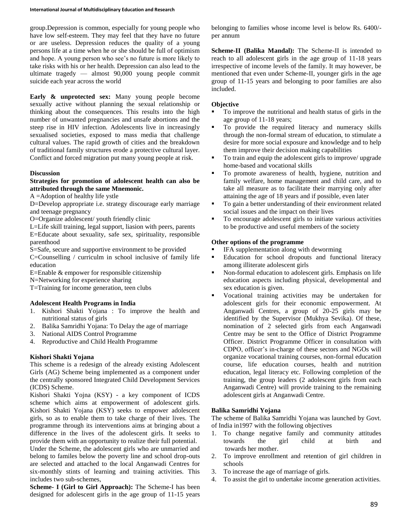group.Depression is common, especially for young people who have low self-esteem. They may feel that they have no future or are useless. Depression reduces the quality of a young persons life at a time when he or she should be full of optimism and hope. A young person who see's no future is more likely to take risks with his or her health. Depression can also lead to the ultimate tragedy — almost 90,000 young people commit suicide each year across the world

**Early & unprotected sex:** Many young people become sexually active without planning the sexual relationship or thinking about the consequences. This results into the high number of unwanted pregnancies and unsafe abortions and the steep rise in HIV infection. Adolescents live in increasingly sexualised societies, exposed to mass media that challenge cultural values. The rapid growth of cities and the breakdown of traditional family structures erode a protective cultural layer. Conflict and forced migration put many young people at risk.

#### **Discussion**

#### **Strategies for promotion of adolescent health can also be attributed through the same Mnemonic.**

A =Adoption of healthy life ystle

D=Develop appropriate i.e. strategy discourage early marriage and teenage pregnancy

O=Organize adolescent/ youth friendly clinic

L=Life skill training, legal support, liasion with peers, parents E=Educate about sexuality, safe sex, spirituality, responsible parenthood

S=Safe, secure and supportive environment to be provided C=Counselling / curriculm in school inclusive of family life education

E=Enable & empower for responsible citizenship

N=Networking for experience sharing

T=Training for income generation, teen clubs

## **Adolescent Health Programs in India**

- 1. Kishori Shakti Yojana : To improve the health and nutritional status of girls
- 2. Balika Samridhi Yojana: To Delay the age of marriage
- 3. National AIDS Control Programme
- 4. Reproductive and Child Health Programme

## **Kishori Shakti Yojana**

This scheme is a redesign of the already existing Adolescent Girls (AG) Scheme being implemented as a component under the centrally sponsored Integrated Child Development Services (ICDS) Scheme.

Kishori Shakti Yojna (KSY) - a key component of ICDS scheme which aims at empowerment of adolescent girls. Kishori Shakti Yojana (KSY) seeks to empower adolescent girls, so as to enable them to take charge of their lives. The programme through its interventions aims at bringing about a difference in the lives of the adolescent girls. It seeks to provide them with an opportunity to realize their full potential.

Under the Scheme, the adolescent girls who are unmarried and belong to familes below the poverty line and school drop-outs are selected and attached to the local Anganwadi Centres for six-monthly stints of learning and training activities. This includes two sub-schemes,

**Scheme- I (Girl to Girl Approach):** The Scheme-I has been designed for adolescent girls in the age group of 11-15 years belonging to families whose income level is below Rs. 6400/ per annum

**Scheme-II (Balika Mandal):** The Scheme-II is intended to reach to all adolescent girls in the age group of 11-18 years irrespective of income levels of the family. It may however, be mentioned that even under Scheme-II, younger girls in the age group of 11-15 years and belonging to poor families are also included.

## **Objective**

- To improve the nutritional and health status of girls in the age group of 11-18 years;
- To provide the required literacy and numeracy skills through the non-formal stream of education, to stimulate a desire for more social exposure and knowledge and to help them improve their decision making capabilities
- To train and equip the adolescent girls to improve/ upgrade home-based and vocational skills
- To promote awareness of health, hygiene, nutrition and family welfare, home management and child care, and to take all measure as to facilitate their marrying only after attaining the age of 18 years and if possible, even later
- To gain a better understanding of their environment related social issues and the impact on their lives
- To encourage adolescent girls to initiate various activities to be productive and useful members of the society

#### **Other options of the programme**

- IFA supplementation along with deworming
- Education for school dropouts and functional literacy among illiterate adolescent girls
- Non-formal education to adolescent girls. Emphasis on life education aspects including physical, developmental and sex education is given.
- Vocational training activities may be undertaken for adolescent girls for their economic empowerment. At Anganwadi Centres, a group of 20-25 girls may be identified by the Supervisor (Mukhya Sevika). Of these, nomination of 2 selected girls from each Anganwadi Centre may be sent to the Office of District Programme Officer. District Programme Officer in consultation with CDPO, officer's in-charge of these sectors and NGOs will organize vocational training courses, non-formal education course, life education courses, health and nutrition education, legal literacy etc. Following completion of the training, the group leaders (2 adolescent girls from each Anganwadi Centre) will provide training to the remaining adolescent girls at Anganwadi Centre.

## **Balika Samridhi Yojana**

The scheme of Balika Samridhi Yojana was launched by Govt. of India in1997 with the following objectives

- 1. To change negative family and community attitudes towards the girl child at birth and towards her mother.
- 2. To improve enrollment and retention of girl children in schools
- 3. To increase the age of marriage of girls.
- 4. To assist the girl to undertake income generation activities.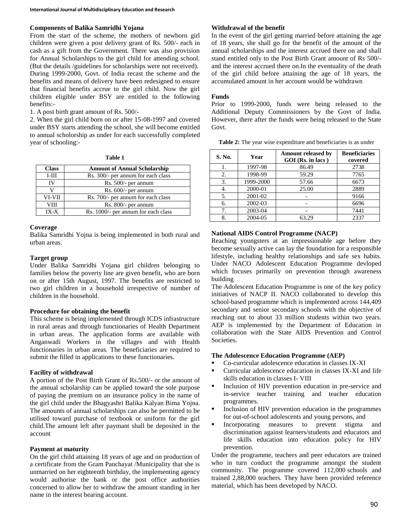## **Components of Balika Samridhi Yojana**

From the start of the scheme, the mothers of newborn girl children were given a post delivery grant of Rs. 500/- each in cash as a gift from the Government. There was also provision for Annual Scholarships to the girl child for attending school. (But the details /guidelines for scholarships were not received). During 1999-2000, Govt. of India recast the scheme and the benefits and means of delivery have been redesigned to ensure that financial benefits accrue to the girl child. Now the girl children eligible under BSY are entitled to the following benefits:-

1. A post birth grant amount of Rs. 500/-

2. When the girl child born on or after 15-08-1997 and covered under BSY starts attending the school, she will become entitled to annual scholorship as under for each successfully completed year of schooling:-

| <b>Class</b> | <b>Amount of Annual Scholarship</b> |  |
|--------------|-------------------------------------|--|
| $I-III$      | Rs. 300/- per annum for each class  |  |
| <b>IV</b>    | Rs. 500/- per annum                 |  |
| V            | Rs. 600/- per annum                 |  |
| VI-VII       | Rs. 700/- per annum for each class  |  |
| <b>VIII</b>  | Rs. 800/- per annum                 |  |
| $IX-X$       | Rs. 1000/- per annum for each class |  |

#### **Coverage**

Balika Samridhi Yojna is being implemented in both rural and urban areas.

## **Target group**

Under Balika Samridhi Yojana girl children belonging to families below the poverty line are given benefit, who are born on or after 15th August, 1997. The benefits are restricted to two girl children in a household irrespective of number of children in the household.

## **Procedure for obtaining the benefit**

This scheme is being implemented through ICDS infrastructure in rural areas and through functionaries of Health Department in urban areas. The application forms are available with Anganwadi Workers in the villages and with Health functionaries in urban areas. The beneficiaries are required to submit the filled in applications to these functionaries.

## **Facility of withdrawal**

A portion of the Post Birth Grant of Rs.500/- or the amount of the annual scholarship can be applied toward the sole purpose of paying the premium on an insurance policy in the name of the girl child under the Bhagyashri Balika Kalyan Bima Yojna. The amounts of annual scholarships can also be permitted to be utilised toward purchase of textbook or uniform for the girl child.The amount left after paymant shall be deposited in the account

## **Payment at maturity**

On the girl child attaining 18 years of age and on production of a certificate from the Gram Panchayat /Municipality that she is unmarried on her eighteenth birthday, the implementing agency would authorise the bank or the post office authorities concerned to allow her to withdraw the amount standing in her name in the interest bearing account.

## **Withdrawal of the benefit**

In the event of the girl getting married before attaining the age of 18 years, she shall go for the benefit of the amount of the annual scholarships and the interest accrued there on and shall stand entitled only to the Post Birth Grant amount of Rs 500/ and the interest accrued there on.In the eventuality of the death of the girl child before attaining the age of 18 years, the accumulated amount in her account would be withdrawn

## **Funds**

Prior to 1999-2000, funds were being released to the Additional Deputy Commissioners by the Govt of India. However, there after the funds were being released to the State Govt.

| Table 2: The year wise expenditure and beneficiaries is as under |  |
|------------------------------------------------------------------|--|
|------------------------------------------------------------------|--|

| S. No. | Year      | <b>Amount released by</b><br>GOI (Rs. in lacs) | <b>Beneficiaries</b><br>covered |
|--------|-----------|------------------------------------------------|---------------------------------|
|        | 1997-98   | 86.49                                          | 2738                            |
| 2.     | 1998-99   | 59.29                                          | 7765                            |
| 3.     | 1999-2000 | 57.66                                          | 6673                            |
| 4.     | 2000-01   | 25.00                                          | 2889                            |
| 5.     | 2001-02   |                                                | 9166                            |
| б.     | 2002-03   |                                                | 6696                            |
| 7.     | 2003-04   |                                                | 7441                            |
|        | 2004-05   | 63.29                                          | 2337                            |

#### **National AIDS Control Programme (NACP)**

Reaching youngsters at an impressionable age before they become sexually active can lay the foundation for a responsible lifestyle, including healthy relationships and safe sex habits. Under NACO Adolescent Education Programme devloped which focuses primarily on prevention through awareness building

The Adolescent Education Programme is one of the key policy initiatives of NACP II. NACO collaborated to develop this school-based programme which is implemented across 144,409 secondary and senior secondary schools with the objective of reaching out to about 33 million students within two years. AEP is implemented by the Department of Education in collaboration with the State AIDS Prevention and Control Societies.

## **The Adolescence Education Programme (AEP)**

- Co-curricular adolescence education in classes IX-XI
- Curricular adolescence education in classes IX-XI and life skills education in classes I- VIII
- Inclusion of HIV prevention education in pre-service and in-service teacher training and teacher education programmes.
- Inclusion of HIV prevention education in the programmes for out-of-school adolescents and young persons, and
- Incorporating measures to prevent stigma and discrimination against learners/students and educators and life skills education into education policy for HIV prevention.

Under the programme, teachers and peer educators are trained who in turn conduct the programme amongst the student community. The programme covered 112,000 schools and trained 2,88,000 teachers. They have been provided reference material, which has been developed by NACO.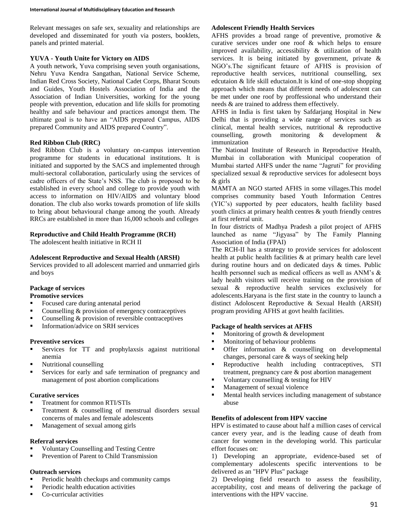Relevant messages on safe sex, sexuality and relationships are developed and disseminated for youth via posters, booklets, panels and printed material.

## **YUVA - Youth Unite for Victory on AIDS**

A youth network, Yuva comprising seven youth organisations, Nehru Yuva Kendra Sangathan, National Service Scheme, Indian Red Cross Society, National Cadet Corps, Bharat Scouts and Guides, Youth Hostels Association of India and the Association of Indian Universities, working for the young people with prevention, education and life skills for promoting healthy and safe behaviour and practices amongst them. The ultimate goal is to have an "AIDS prepared Campus, AIDS prepared Community and AIDS prepared Country".

#### **Red Ribbon Club (RRC)**

Red Ribbon Club is a voluntary on-campus intervention programme for students in educational institutions. It is initiated and supported by the SACS and implemented through multi-sectoral collaboration, particularly using the services of cadre officers of the State's NSS. The club is proposed to be established in every school and college to provide youth with access to information on HIV/AIDS and voluntary blood donation. The club also works towards promotion of life skills to bring about behavioural change among the youth. Already RRCs are established in more than 16,000 schools and colleges

## **Reproductive and Child Health Programme (RCH)**

The adolescent health initiative in RCH II

#### **Adolescent Reproductive and Sexual Health (ARSH)**

Services provided to all adolescent married and unmarried girls and boys

## **Package of services**

**Promotive services**

- Focused care during antenatal period
- Counselling  $&$  provision of emergency contraceptives
- Counselling & provision of reversible contraceptives
- **Information/advice on SRH services**

#### **Preventive services**

- Services for TT and prophylaxsis against nutritional anemia
- Nutritional counselling
- Services for early and safe termination of pregnancy and management of post abortion complications

## **Curative services**

- Treatment for common RTI/STIs
- **Treatment & counselling of menstrual disorders sexual** concerns of males and female adolescents
- Management of sexual among girls

#### **Referral services**

- Voluntary Counselling and Testing Centre
- Prevention of Parent to Child Transmission

## **Outreach services**

- **Periodic health checkups and community camps**
- Periodic health education activities
- Co-curricular activities

## **Adolescent Friendly Health Services**

AFHS provides a broad range of preventive, promotive & curative services under one roof & which helps to ensure improved availability, accessibility & utilization of health services. It is being initiated by government, private & NGO's.The significant fetaure of AFHS is provision of reproductive health services, nutritional counselling, sex edcutaion & life skill eductaion.It is kind of one-stop shopping approach which means that different needs of adolescent can be met under one roof by proffessional who understand their needs & are trained to address them effectively.

AFHS in India is first taken by Safdarjang Hospital in New Delhi that is providing a wide range of services such as clinical, mental health services, nutritional & reproductive counselling, growth monitoring & development & immunization

The National Institute of Research in Reproductive Health, Mumbai in collaboration with Municipal cooperation of Mumbai started AHFS under the name "Jagruti" for providing specialized sexual & reproductive services for adolesecnt boys & girls

MAMTA an NGO started AFHS in some villages.This model comprises community based Youth Information Centres (YIC's) supported by peer educators, health faclility based youth clinics at primary health centres & youth friendly centres at first referral unit.

In four districts of Madhya Pradesh a pilot project of AFHS launched as name "Jigyasa" by The Family Planning Association of India (FPAI)

The RCH-II has a strategy to provide services for adoloscent health at public health facilities & at primary health care level during routine hours and on dedicated days & times. Public health personnel such as medical officers as well as ANM's & lady health visitors will receive training on the provision of sexual & reproductive health services exclusively for adolescents.Haryana is the first state in the country to launch a distinct Adoloscent Reproductive & Sexual Health (ARSH) program providing AFHS at govt health facilities.

## **Package of health services at AFHS**

- Monitoring of growth & development
- **Monitoring of behaviour problems**
- **•** Offer information & counselling on developmental changes, personal care & ways of seeking help
- **Reproductive health including contraceptives, STI** treatment, pregnancy care & post abortion management
- Voluntary counselling & testing for HIV
- **Management of sexual violence**
- **Mental health services including management of substance** abuse

## **Benefits of adolescent from HPV vaccine**

HPV is estimated to cause about half a million cases of cervical cancer every year, and is the leading cause of death from cancer for women in the developing world. This particular effort focuses on:

1) Developing an appropriate, evidence-based set of complementary adolescents specific interventions to be delivered as an "HPV Plus" package

2) Developing field research to assess the feasibility, acceptability, cost and means of delivering the package of interventions with the HPV vaccine.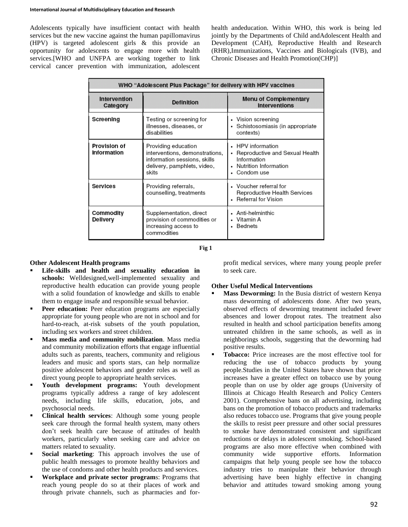Adolescents typically have insufficient contact with health services but the new vaccine against the human papillomavirus (HPV) is targeted adolescent girls & this provide an opportunity for adolescents to engage more with health services.[WHO and UNFPA are working together to link cervical cancer prevention with immunization, adolescent health andeducation. Within WHO, this work is being led jointly by the Departments of Child andAdolescent Health and Development (CAH), Reproductive Health and Research (RHR),Immunizations, Vaccines and Biologicals (IVB), and Chronic Diseases and Health Promotion(CHP)]

| WHO "Adolescent Plus Package" for delivery with HPV vaccines |                                                                                                                               |                                                                                                           |  |  |  |
|--------------------------------------------------------------|-------------------------------------------------------------------------------------------------------------------------------|-----------------------------------------------------------------------------------------------------------|--|--|--|
| Intervention<br><b>Definition</b><br>Category                |                                                                                                                               | Menu of Complementary<br><b>Interventions</b>                                                             |  |  |  |
| Screening                                                    | Testing or screening for<br>illnesses, diseases, or<br>disabilities                                                           | $\cdot$ Vision screening<br>• Schistosomiasis (in appropriate<br>contexts)                                |  |  |  |
| Provision of<br>Information                                  | Providing education<br>interventions, demonstrations,<br>information sessions, skills<br>delivery, pamphlets, video,<br>skits | • HPV information<br>Reproductive and Sexual Health<br>Information<br>Nutrition Information<br>Condom use |  |  |  |
| Services                                                     | Providing referrals,<br>counselling, treatments                                                                               | • Voucher referral for<br>Reproductive Health Services<br>Referral for Vision                             |  |  |  |
| Commodity<br>Delivery                                        | Supplementation, direct<br>provision of commodities or<br>increasing access to<br>commodities                                 | • Anti-helminthic<br>• Vitamin A<br>Bednets                                                               |  |  |  |

**Fig 1**

## **Other Adolescent Health programs**

- **Life-skills and health and sexuality education in schools:** Welldesigned,well-implemented sexuality and reproductive health education can provide young people with a solid foundation of knowledge and skills to enable them to engage insafe and responsible sexual behavior.
- **Peer education:** Peer education programs are especially appropriate for young people who are not in school and for hard-to-reach, at-risk subsets of the youth population, including sex workers and street children.
- **Mass media and community mobilization**. Mass media and community mobilization efforts that engage influential adults such as parents, teachers, community and religious leaders and music and sports stars, can help normalize positive adolescent behaviors and gender roles as well as direct young people to appropriate health services.
- **Youth development programs:** Youth development programs typically address a range of key adolescent needs, including life skills, education, jobs, and psychosocial needs.
- **Clinical health services**: Although some young people seek care through the formal health system, many others don't seek health care because of attitudes of health workers, particularly when seeking care and advice on matters related to sexuality.
- **Social marketing:** This approach involves the use of public health messages to promote healthy behaviors and the use of condoms and other health products and services.
- **Workplace and private sector program**s: Programs that reach young people do so at their places of work and through private channels, such as pharmacies and for-

profit medical services, where many young people prefer to seek care.

## **Other Useful Medical Interventions**

- **Mass Deworming:** In the Busia district of western Kenya mass deworming of adolescents done. After two years, observed effects of deworming treatment included fewer absences and lower dropout rates. The treatment also resulted in health and school participation benefits among untreated children in the same schools, as well as in neighborings schools, suggesting that the deworming had positive results.
- **Tobacco:** Price increases are the most effective tool for reducing the use of tobacco products by young people.Studies in the United States have shown that price increases have a greater effect on tobacco use by young people than on use by older age groups (University of Illinois at Chicago Health Research and Policy Centers 2001). Comprehensive bans on all advertising, including bans on the promotion of tobacco products and trademarks also reduces tobacco use. Programs that give young people the skills to resist peer pressure and other social pressures to smoke have demonstrated consistent and significant reductions or delays in adolescent smoking. School-based programs are also more effective when combined with community wide supportive efforts. Information campaigns that help young people see how the tobacco industry tries to manipulate their behavior through advertising have been highly effective in changing behavior and attitudes toward smoking among young